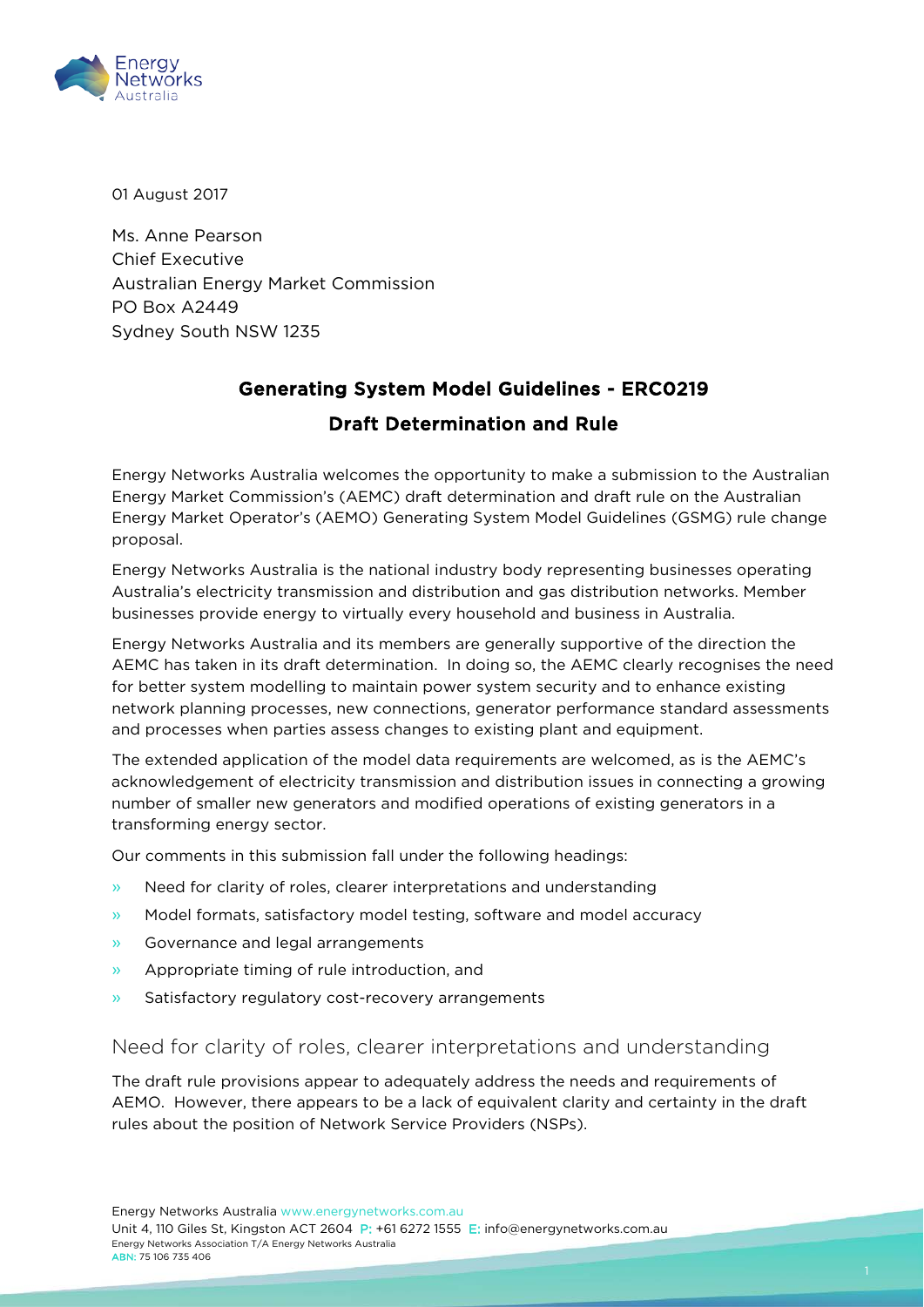

01 August 2017

Ms. Anne Pearson Chief Executive Australian Energy Market Commission PO Box A2449 Sydney South NSW 1235

# Generating System Model Guidelines - ERC0219

### Draft Determination and Rule

Energy Networks Australia welcomes the opportunity to make a submission to the Australian Energy Market Commission's (AEMC) draft determination and draft rule on the Australian Energy Market Operator's (AEMO) Generating System Model Guidelines (GSMG) rule change proposal.

Energy Networks Australia is the national industry body representing businesses operating Australia's electricity transmission and distribution and gas distribution networks. Member businesses provide energy to virtually every household and business in Australia.

Energy Networks Australia and its members are generally supportive of the direction the AEMC has taken in its draft determination. In doing so, the AEMC clearly recognises the need for better system modelling to maintain power system security and to enhance existing network planning processes, new connections, generator performance standard assessments and processes when parties assess changes to existing plant and equipment.

The extended application of the model data requirements are welcomed, as is the AEMC's acknowledgement of electricity transmission and distribution issues in connecting a growing number of smaller new generators and modified operations of existing generators in a transforming energy sector.

Our comments in this submission fall under the following headings:

- » Need for clarity of roles, clearer interpretations and understanding
- » Model formats, satisfactory model testing, software and model accuracy
- » Governance and legal arrangements
- » Appropriate timing of rule introduction, and
- » Satisfactory regulatory cost-recovery arrangements

#### Need for clarity of roles, clearer interpretations and understanding

The draft rule provisions appear to adequately address the needs and requirements of AEMO. However, there appears to be a lack of equivalent clarity and certainty in the draft rules about the position of Network Service Providers (NSPs).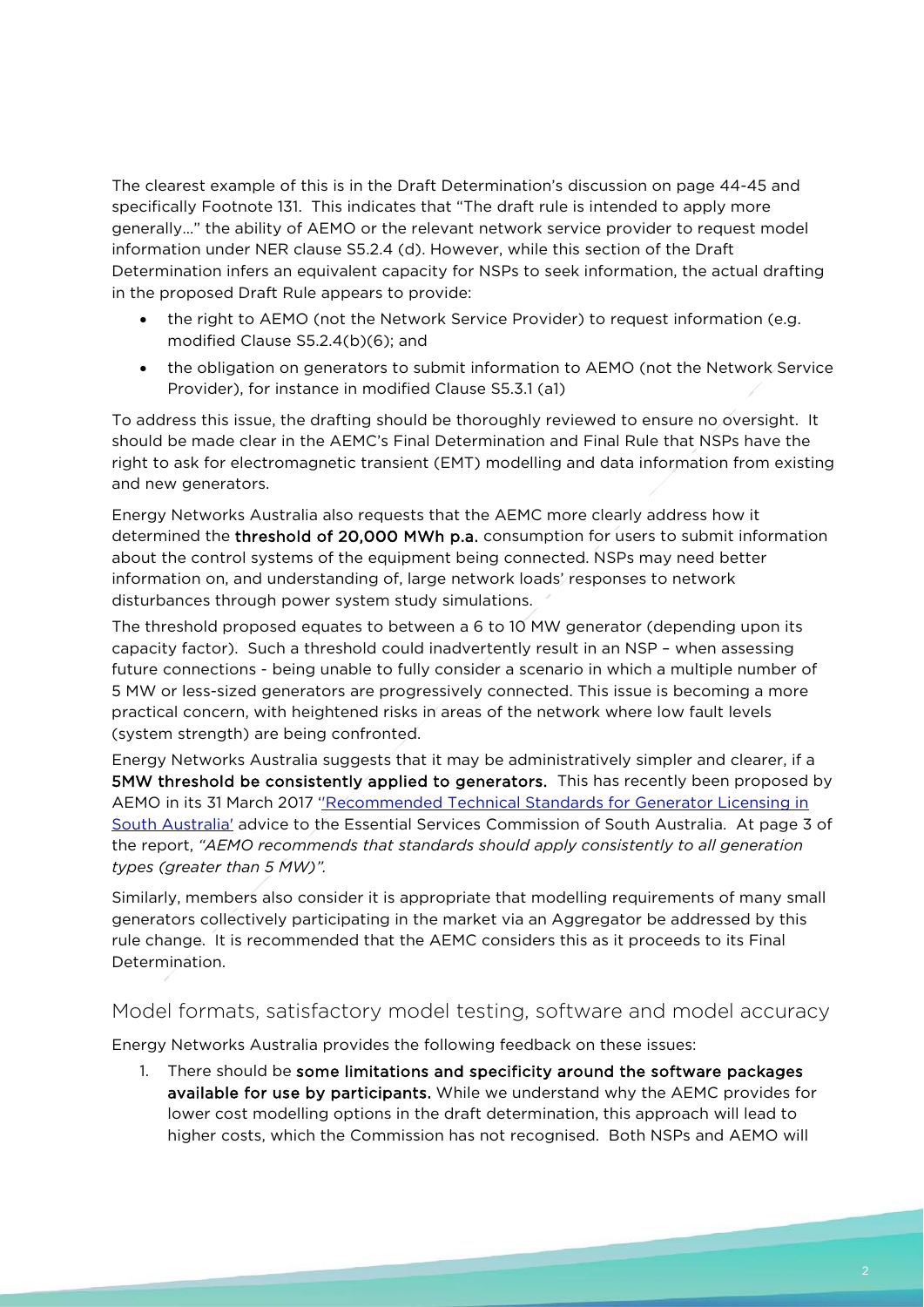The clearest example of this is in the Draft Determination's discussion on page 44-45 and specifically Footnote 131. This indicates that "The draft rule is intended to apply more generally…" the ability of AEMO or the relevant network service provider to request model information under NER clause S5.2.4 (d). However, while this section of the Draft Determination infers an equivalent capacity for NSPs to seek information, the actual drafting in the proposed Draft Rule appears to provide:

- the right to AEMO (not the Network Service Provider) to request information (e.g. modified Clause S5.2.4(b)(6); and
- the obligation on generators to submit information to AEMO (not the Network Service Provider), for instance in modified Clause S5.3.1 (a1)

To address this issue, the drafting should be thoroughly reviewed to ensure no oversight. It should be made clear in the AEMC's Final Determination and Final Rule that NSPs have the right to ask for electromagnetic transient (EMT) modelling and data information from existing and new generators.

Energy Networks Australia also requests that the AEMC more clearly address how it determined the threshold of 20,000 MWh p.a. consumption for users to submit information about the control systems of the equipment being connected. NSPs may need better information on, and understanding of, large network loads' responses to network disturbances through power system study simulations.

The threshold proposed equates to between a 6 to 10 MW generator (depending upon its capacity factor). Such a threshold could inadvertently result in an NSP – when assessing future connections - being unable to fully consider a scenario in which a multiple number of 5 MW or less-sized generators are progressively connected. This issue is becoming a more practical concern, with heightened risks in areas of the network where low fault levels (system strength) are being confronted.

Energy Networks Australia suggests that it may be administratively simpler and clearer, if a 5MW threshold be consistently applied to generators. This has recently been proposed by AEMO in its 31 March 2017 "Recommended Technical Standards for Generator Licensing in [South Australia'](https://www.aemo.com.au/-/media/Files/Electricity/NEM/Security_and_Reliability/Reports/2017-ESCOSA-Review--Final-Report.pdf) advice to the Essential Services Commission of South Australia. At page 3 of the report, *"AEMO recommends that standards should apply consistently to all generation types (greater than 5 MW)".*

Similarly, members also consider it is appropriate that modelling requirements of many small generators collectively participating in the market via an Aggregator be addressed by this rule change. It is recommended that the AEMC considers this as it proceeds to its Final Determination.

#### Model formats, satisfactory model testing, software and model accuracy

Energy Networks Australia provides the following feedback on these issues:

1. There should be some limitations and specificity around the software packages available for use by participants. While we understand why the AEMC provides for lower cost modelling options in the draft determination, this approach will lead to higher costs, which the Commission has not recognised. Both NSPs and AEMO will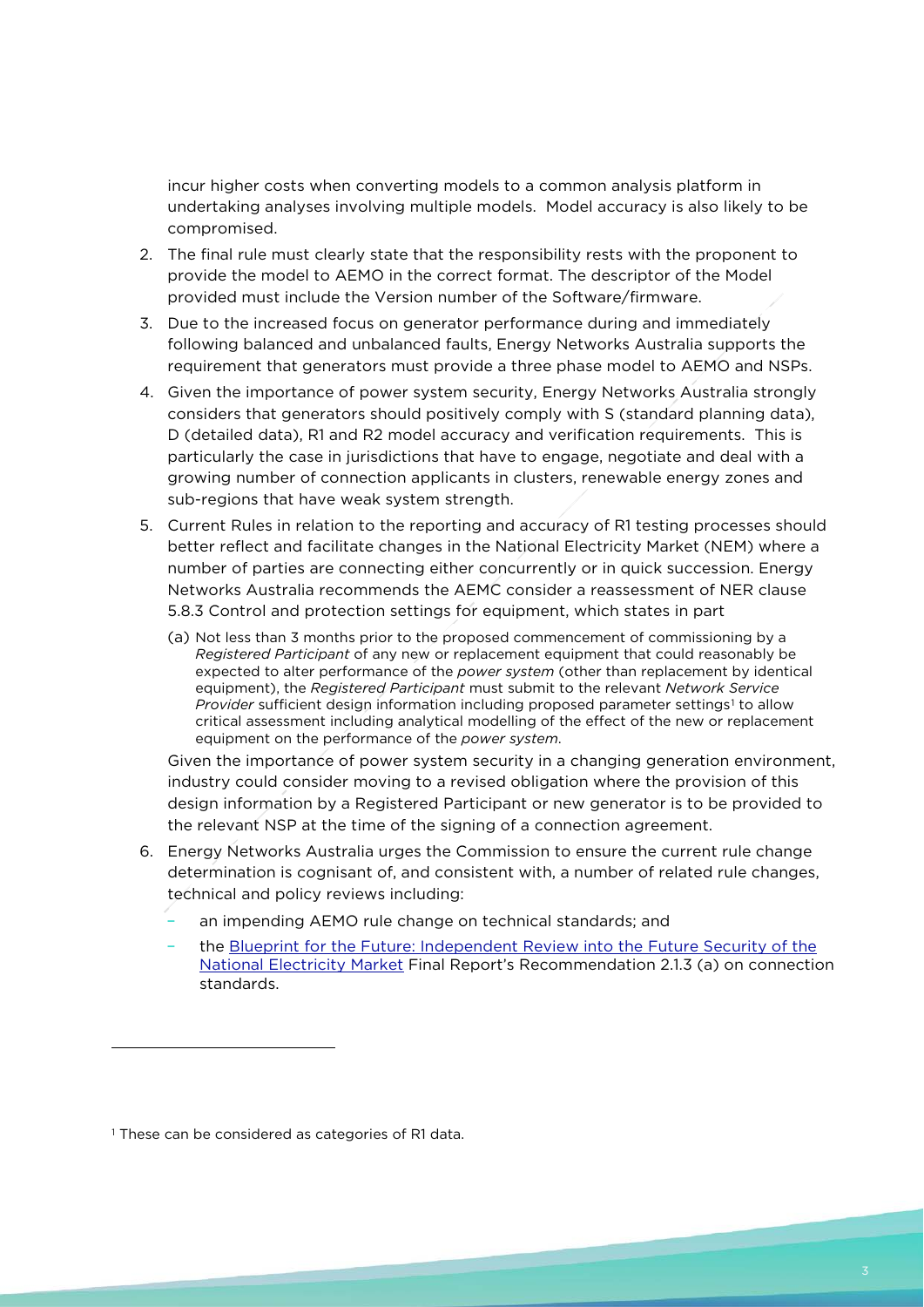incur higher costs when converting models to a common analysis platform in undertaking analyses involving multiple models. Model accuracy is also likely to be compromised.

- 2. The final rule must clearly state that the responsibility rests with the proponent to provide the model to AEMO in the correct format. The descriptor of the Model provided must include the Version number of the Software/firmware.
- 3. Due to the increased focus on generator performance during and immediately following balanced and unbalanced faults, Energy Networks Australia supports the requirement that generators must provide a three phase model to AEMO and NSPs.
- 4. Given the importance of power system security, Energy Networks Australia strongly considers that generators should positively comply with S (standard planning data), D (detailed data), R1 and R2 model accuracy and verification requirements. This is particularly the case in jurisdictions that have to engage, negotiate and deal with a growing number of connection applicants in clusters, renewable energy zones and sub-regions that have weak system strength.
- 5. Current Rules in relation to the reporting and accuracy of R1 testing processes should better reflect and facilitate changes in the National Electricity Market (NEM) where a number of parties are connecting either concurrently or in quick succession. Energy Networks Australia recommends the AEMC consider a reassessment of NER clause 5.8.3 Control and protection settings for equipment, which states in part
	- (a) Not less than 3 months prior to the proposed commencement of commissioning by a *Registered Participant* of any new or replacement equipment that could reasonably be expected to alter performance of the *power system* (other than replacement by identical equipment), the *Registered Participant* must submit to the relevant *Network Service Provider* sufficient design information including proposed parameter settings<sup>[1](#page-2-0)</sup> to allow critical assessment including analytical modelling of the effect of the new or replacement equipment on the performance of the *power system*.

Given the importance of power system security in a changing generation environment, industry could consider moving to a revised obligation where the provision of this design information by a Registered Participant or new generator is to be provided to the relevant NSP at the time of the signing of a connection agreement.

- 6. Energy Networks Australia urges the Commission to ensure the current rule change determination is cognisant of, and consistent with, a number of related rule changes, technical and policy reviews including:
	- an impending AEMO rule change on technical standards; and
	- the [Blueprint for the Future: Independent Review into the Future Security of the](http://www.environment.gov.au/system/files/resources/1d6b0464-6162-4223-ac08-3395a6b1c7fa/files/electricity-market-review-recommendations.pdf)  [National Electricity Market](http://www.environment.gov.au/system/files/resources/1d6b0464-6162-4223-ac08-3395a6b1c7fa/files/electricity-market-review-recommendations.pdf) Final Report's Recommendation 2.1.3 (a) on connection standards.

1

<span id="page-2-0"></span><sup>&</sup>lt;sup>1</sup> These can be considered as categories of R1 data.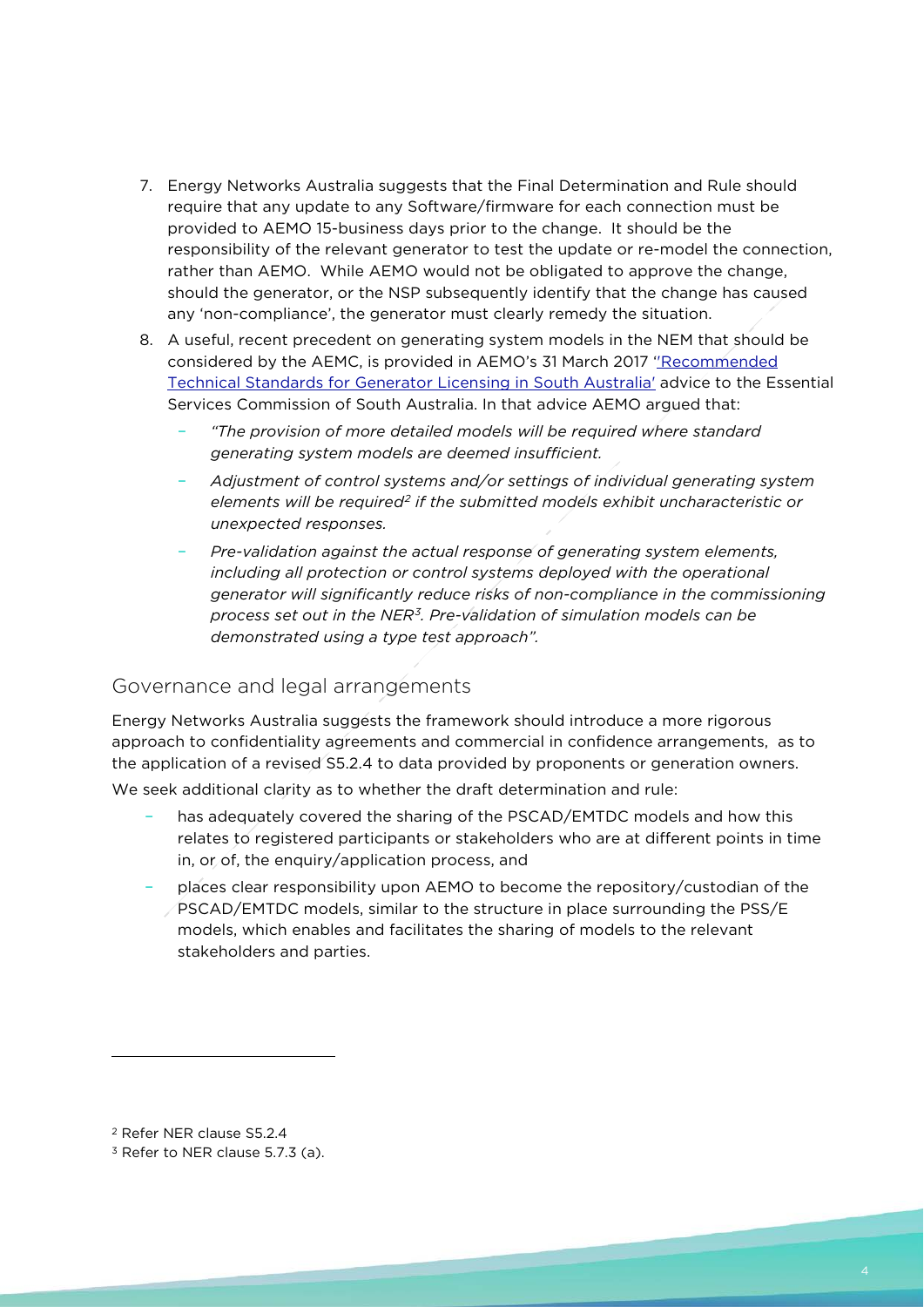- 7. Energy Networks Australia suggests that the Final Determination and Rule should require that any update to any Software/firmware for each connection must be provided to AEMO 15-business days prior to the change. It should be the responsibility of the relevant generator to test the update or re-model the connection, rather than AEMO. While AEMO would not be obligated to approve the change, should the generator, or the NSP subsequently identify that the change has caused any 'non-compliance', the generator must clearly remedy the situation.
- 8. A useful, recent precedent on generating system models in the NEM that should be considered by the AEMC, is provided in AEMO's 31 March 2017 [''Recommended](https://www.aemo.com.au/-/media/Files/Electricity/NEM/Security_and_Reliability/Reports/2017-ESCOSA-Review--Final-Report.pdf)  [Technical Standards for Generator Licensing in South Australia'](https://www.aemo.com.au/-/media/Files/Electricity/NEM/Security_and_Reliability/Reports/2017-ESCOSA-Review--Final-Report.pdf) advice to the Essential Services Commission of South Australia. In that advice AEMO argued that:
	- *"The provision of more detailed models will be required where standard generating system models are deemed insufficient.*
	- *Adjustment of control systems and/or settings of individual generating system elements will be required[2](#page-3-0) if the submitted models exhibit uncharacteristic or unexpected responses.*
	- *Pre-validation against the actual response of generating system elements,*  including all protection or control systems deployed with the operational *generator will significantly reduce risks of non-compliance in the commissioning process set out in the NER[3](#page-3-1). Pre-validation of simulation models can be demonstrated using a type test approach".*

## Governance and legal arrangements

Energy Networks Australia suggests the framework should introduce a more rigorous approach to confidentiality agreements and commercial in confidence arrangements, as to the application of a revised S5.2.4 to data provided by proponents or generation owners. We seek additional clarity as to whether the draft determination and rule:

- has adequately covered the sharing of the PSCAD/EMTDC models and how this relates to registered participants or stakeholders who are at different points in time in, or of, the enquiry/application process, and
- places clear responsibility upon AEMO to become the repository/custodian of the PSCAD/EMTDC models, similar to the structure in place surrounding the PSS/E models, which enables and facilitates the sharing of models to the relevant stakeholders and parties.

1

<span id="page-3-0"></span><sup>2</sup> Refer NER clause S5.2.4

<span id="page-3-1"></span><sup>&</sup>lt;sup>3</sup> Refer to NER clause 5.7.3 (a).